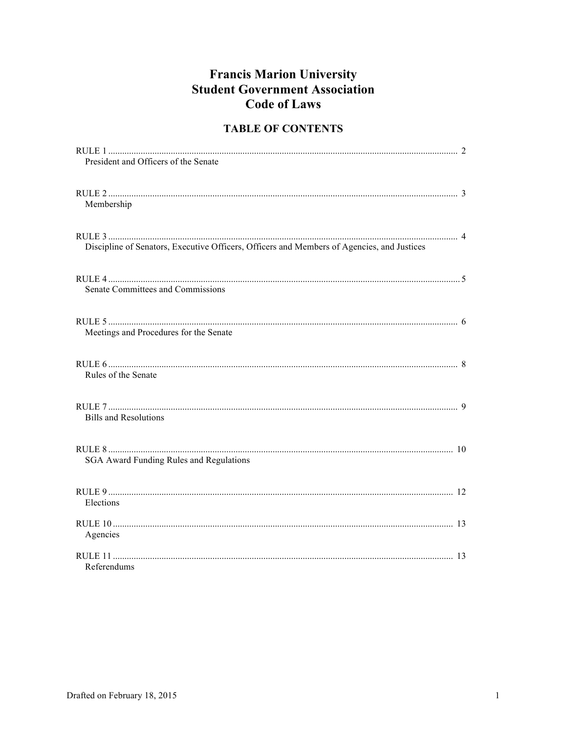# **Francis Marion University Student Government Association Code of Laws**

# **TABLE OF CONTENTS**

| President and Officers of the Senate                                                       |  |
|--------------------------------------------------------------------------------------------|--|
| Membership                                                                                 |  |
| Discipline of Senators, Executive Officers, Officers and Members of Agencies, and Justices |  |
| Senate Committees and Commissions                                                          |  |
| Meetings and Procedures for the Senate                                                     |  |
| Rules of the Senate                                                                        |  |
| <b>Bills and Resolutions</b>                                                               |  |
| <b>SGA Award Funding Rules and Regulations</b>                                             |  |
| Elections                                                                                  |  |
| Agencies                                                                                   |  |
| Referendums                                                                                |  |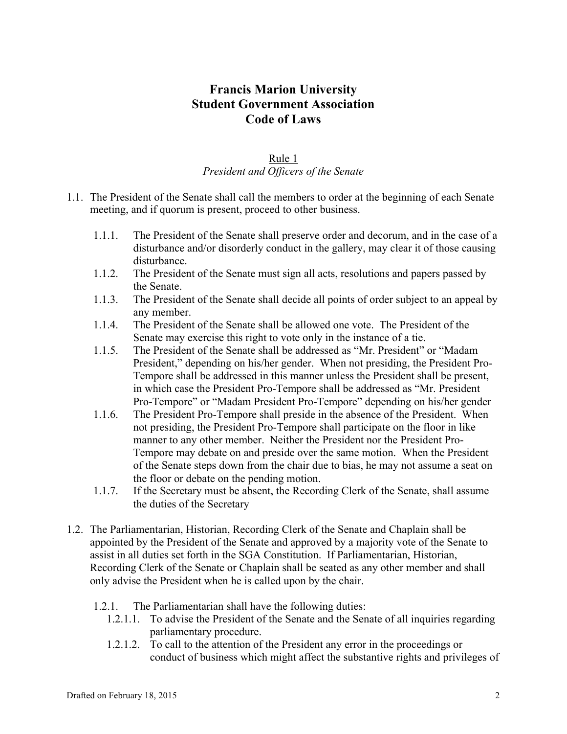# **Francis Marion University Student Government Association Code of Laws**

## Rule 1 *President and Officers of the Senate*

- 1.1. The President of the Senate shall call the members to order at the beginning of each Senate meeting, and if quorum is present, proceed to other business.
	- 1.1.1. The President of the Senate shall preserve order and decorum, and in the case of a disturbance and/or disorderly conduct in the gallery, may clear it of those causing disturbance.
	- 1.1.2. The President of the Senate must sign all acts, resolutions and papers passed by the Senate.
	- 1.1.3. The President of the Senate shall decide all points of order subject to an appeal by any member.
	- 1.1.4. The President of the Senate shall be allowed one vote. The President of the Senate may exercise this right to vote only in the instance of a tie.
	- 1.1.5. The President of the Senate shall be addressed as "Mr. President" or "Madam President," depending on his/her gender. When not presiding, the President Pro-Tempore shall be addressed in this manner unless the President shall be present, in which case the President Pro-Tempore shall be addressed as "Mr. President Pro-Tempore" or "Madam President Pro-Tempore" depending on his/her gender
	- 1.1.6. The President Pro-Tempore shall preside in the absence of the President. When not presiding, the President Pro-Tempore shall participate on the floor in like manner to any other member. Neither the President nor the President Pro-Tempore may debate on and preside over the same motion. When the President of the Senate steps down from the chair due to bias, he may not assume a seat on the floor or debate on the pending motion.
	- 1.1.7. If the Secretary must be absent, the Recording Clerk of the Senate, shall assume the duties of the Secretary
- 1.2. The Parliamentarian, Historian, Recording Clerk of the Senate and Chaplain shall be appointed by the President of the Senate and approved by a majority vote of the Senate to assist in all duties set forth in the SGA Constitution. If Parliamentarian, Historian, Recording Clerk of the Senate or Chaplain shall be seated as any other member and shall only advise the President when he is called upon by the chair.
	- 1.2.1. The Parliamentarian shall have the following duties:
		- 1.2.1.1. To advise the President of the Senate and the Senate of all inquiries regarding parliamentary procedure.
		- 1.2.1.2. To call to the attention of the President any error in the proceedings or conduct of business which might affect the substantive rights and privileges of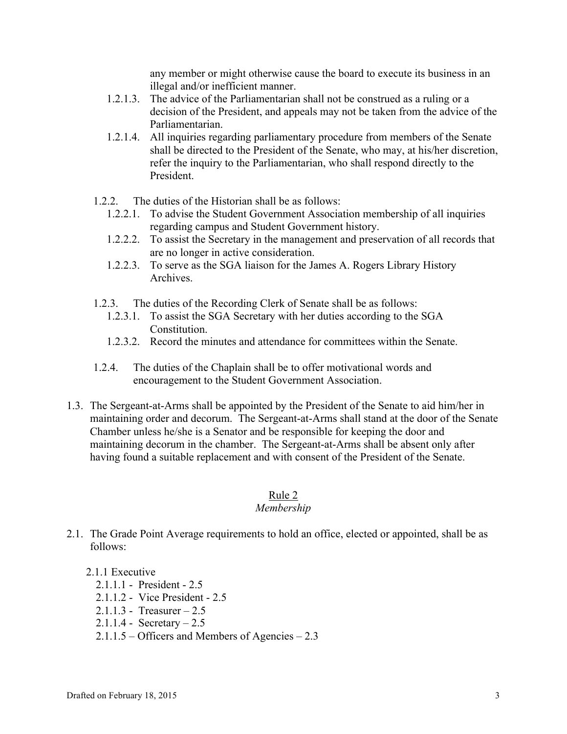any member or might otherwise cause the board to execute its business in an illegal and/or inefficient manner.

- 1.2.1.3. The advice of the Parliamentarian shall not be construed as a ruling or a decision of the President, and appeals may not be taken from the advice of the Parliamentarian.
- 1.2.1.4. All inquiries regarding parliamentary procedure from members of the Senate shall be directed to the President of the Senate, who may, at his/her discretion, refer the inquiry to the Parliamentarian, who shall respond directly to the President.
- 1.2.2. The duties of the Historian shall be as follows:
	- 1.2.2.1. To advise the Student Government Association membership of all inquiries regarding campus and Student Government history.
	- 1.2.2.2. To assist the Secretary in the management and preservation of all records that are no longer in active consideration.
	- 1.2.2.3. To serve as the SGA liaison for the James A. Rogers Library History Archives.
- 1.2.3. The duties of the Recording Clerk of Senate shall be as follows:
	- 1.2.3.1. To assist the SGA Secretary with her duties according to the SGA Constitution.
	- 1.2.3.2. Record the minutes and attendance for committees within the Senate.
- 1.2.4. The duties of the Chaplain shall be to offer motivational words and encouragement to the Student Government Association.
- 1.3. The Sergeant-at-Arms shall be appointed by the President of the Senate to aid him/her in maintaining order and decorum. The Sergeant-at-Arms shall stand at the door of the Senate Chamber unless he/she is a Senator and be responsible for keeping the door and maintaining decorum in the chamber. The Sergeant-at-Arms shall be absent only after having found a suitable replacement and with consent of the President of the Senate.

#### Rule 2

#### *Membership*

2.1. The Grade Point Average requirements to hold an office, elected or appointed, shall be as follows:

#### 2.1.1 Executive

- 2.1.1.1 President 2.5
- 2.1.1.2 Vice President 2.5
- 2.1.1.3 Treasurer 2.5
- 2.1.1.4 Secretary 2.5
- 2.1.1.5 Officers and Members of Agencies 2.3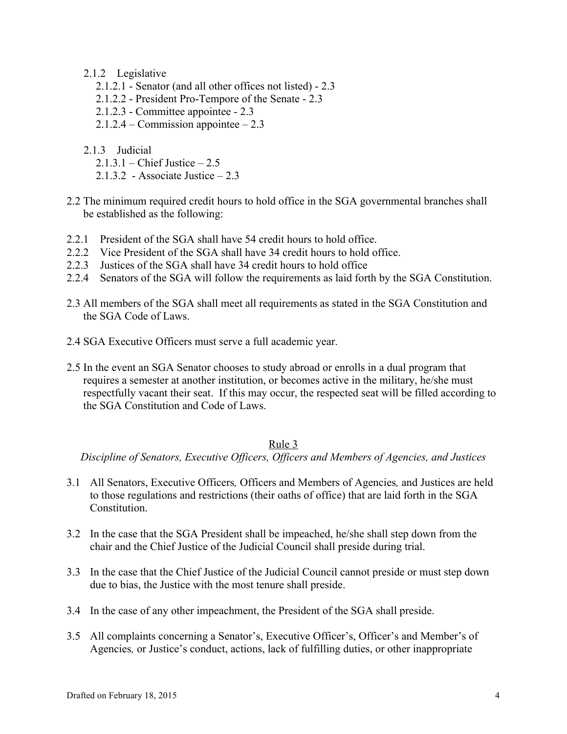### 2.1.2 Legislative

- 2.1.2.1 Senator (and all other offices not listed) 2.3
- 2.1.2.2 President Pro-Tempore of the Senate 2.3
- 2.1.2.3 Committee appointee 2.3
- $2.1.2.4 -$ Commission appointee  $-2.3$
- 2.1.3 Judicial
	- 2.1.3.1 Chief Justice 2.5
	- 2.1.3.2 Associate Justice 2.3
- 2.2 The minimum required credit hours to hold office in the SGA governmental branches shall be established as the following:
- 2.2.1 President of the SGA shall have 54 credit hours to hold office.
- 2.2.2. Vice President of the SGA shall have 34 credit hours to hold office.
- 2.2.3 Justices of the SGA shall have 34 credit hours to hold office
- 2.2.4 Senators of the SGA will follow the requirements as laid forth by the SGA Constitution.
- 2.3 All members of the SGA shall meet all requirements as stated in the SGA Constitution and the SGA Code of Laws.
- 2.4 SGA Executive Officers must serve a full academic year.
- 2.5 In the event an SGA Senator chooses to study abroad or enrolls in a dual program that requires a semester at another institution, or becomes active in the military, he/she must respectfully vacant their seat. If this may occur, the respected seat will be filled according to the SGA Constitution and Code of Laws.

#### Rule 3

*Discipline of Senators, Executive Officers, Officers and Members of Agencies, and Justices*

- 3.1 All Senators, Executive Officers*,* Officers and Members of Agencies*,* and Justices are held to those regulations and restrictions (their oaths of office) that are laid forth in the SGA **Constitution**
- 3.2 In the case that the SGA President shall be impeached, he/she shall step down from the chair and the Chief Justice of the Judicial Council shall preside during trial.
- 3.3 In the case that the Chief Justice of the Judicial Council cannot preside or must step down due to bias, the Justice with the most tenure shall preside.
- 3.4 In the case of any other impeachment, the President of the SGA shall preside.
- 3.5 All complaints concerning a Senator's, Executive Officer's, Officer's and Member's of Agencies*,* or Justice's conduct, actions, lack of fulfilling duties, or other inappropriate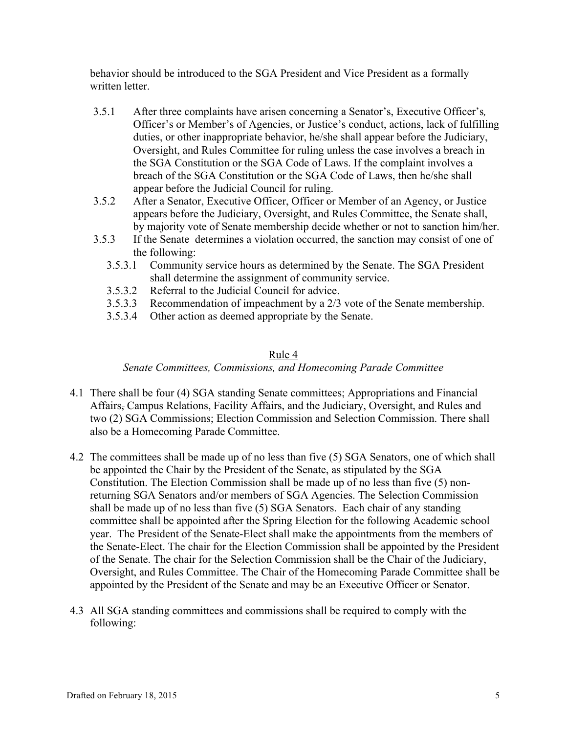behavior should be introduced to the SGA President and Vice President as a formally written letter.

- 3.5.1 After three complaints have arisen concerning a Senator's, Executive Officer's*,*  Officer's or Member's of Agencies, or Justice's conduct, actions, lack of fulfilling duties, or other inappropriate behavior, he/she shall appear before the Judiciary, Oversight, and Rules Committee for ruling unless the case involves a breach in the SGA Constitution or the SGA Code of Laws. If the complaint involves a breach of the SGA Constitution or the SGA Code of Laws, then he/she shall appear before the Judicial Council for ruling.
- 3.5.2 After a Senator, Executive Officer, Officer or Member of an Agency, or Justice appears before the Judiciary, Oversight, and Rules Committee, the Senate shall, by majority vote of Senate membership decide whether or not to sanction him/her.
- 3.5.3 If the Senate determines a violation occurred, the sanction may consist of one of the following:
	- 3.5.3.1 Community service hours as determined by the Senate. The SGA President shall determine the assignment of community service.
	- 3.5.3.2 Referral to the Judicial Council for advice.
	- 3.5.3.3 Recommendation of impeachment by a 2/3 vote of the Senate membership.
	- 3.5.3.4 Other action as deemed appropriate by the Senate.

#### Rule 4

*Senate Committees, Commissions, and Homecoming Parade Committee*

- 4.1 There shall be four (4) SGA standing Senate committees; Appropriations and Financial Affairs, Campus Relations, Facility Affairs, and the Judiciary, Oversight, and Rules and two (2) SGA Commissions; Election Commission and Selection Commission. There shall also be a Homecoming Parade Committee.
- 4.2 The committees shall be made up of no less than five (5) SGA Senators, one of which shall be appointed the Chair by the President of the Senate, as stipulated by the SGA Constitution. The Election Commission shall be made up of no less than five (5) nonreturning SGA Senators and/or members of SGA Agencies. The Selection Commission shall be made up of no less than five (5) SGA Senators. Each chair of any standing committee shall be appointed after the Spring Election for the following Academic school year. The President of the Senate-Elect shall make the appointments from the members of the Senate-Elect. The chair for the Election Commission shall be appointed by the President of the Senate. The chair for the Selection Commission shall be the Chair of the Judiciary, Oversight, and Rules Committee. The Chair of the Homecoming Parade Committee shall be appointed by the President of the Senate and may be an Executive Officer or Senator.
- 4.3 All SGA standing committees and commissions shall be required to comply with the following: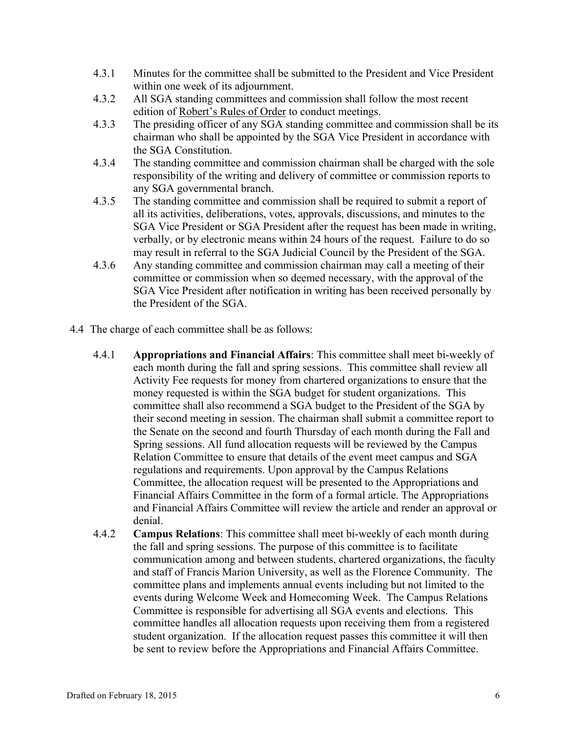- 4.3.1 Minutes for the committee shall be submitted to the President and Vice President within one week of its adjournment.
- 4.3.2 All SGA standing committees and commission shall follow the most recent edition of Robert's Rules of Order to conduct meetings.
- 4.3.3 The presiding officer of any SGA standing committee and commission shall be its chairman who shall be appointed by the SGA Vice President in accordance with the SGA Constitution.
- 4.3.4 The standing committee and commission chairman shall be charged with the sole responsibility of the writing and delivery of committee or commission reports to any SGA governmental branch.
- 4.3.5 The standing committee and commission shall be required to submit a report of all its activities, deliberations, votes, approvals, discussions, and minutes to the SGA Vice President or SGA President after the request has been made in writing, verbally, or by electronic means within 24 hours of the request. Failure to do so may result in referral to the SGA Judicial Council by the President of the SGA.
- 4.3.6 Any standing committee and commission chairman may call a meeting of their committee or commission when so deemed necessary, with the approval of the SGA Vice President after notification in writing has been received personally by the President of the SGA.
- 4.4 The charge of each committee shall be as follows:
	- 4.4.1 **Appropriations and Financial Affairs**: This committee shall meet bi-weekly of each month during the fall and spring sessions. This committee shall review all Activity Fee requests for money from chartered organizations to ensure that the money requested is within the SGA budget for student organizations. This committee shall also recommend a SGA budget to the President of the SGA by their second meeting in session. The chairman shall submit a committee report to the Senate on the second and fourth Thursday of each month during the Fall and Spring sessions. All fund allocation requests will be reviewed by the Campus Relation Committee to ensure that details of the event meet campus and SGA regulations and requirements. Upon approval by the Campus Relations Committee, the allocation request will be presented to the Appropriations and Financial Affairs Committee in the form of a formal article. The Appropriations and Financial Affairs Committee will review the article and render an approval or denial.
	- 4.4.2 **Campus Relations**: This committee shall meet bi-weekly of each month during the fall and spring sessions. The purpose of this committee is to facilitate communication among and between students, chartered organizations, the faculty and staff of Francis Marion University, as well as the Florence Community. The committee plans and implements annual events including but not limited to the events during Welcome Week and Homecoming Week. The Campus Relations Committee is responsible for advertising all SGA events and elections. This committee handles all allocation requests upon receiving them from a registered student organization. If the allocation request passes this committee it will then be sent to review before the Appropriations and Financial Affairs Committee.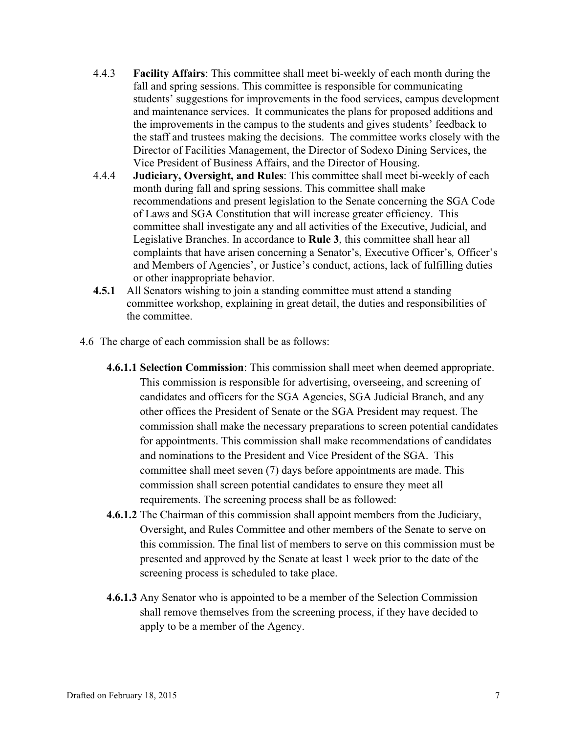- 4.4.3 **Facility Affairs**: This committee shall meet bi-weekly of each month during the fall and spring sessions. This committee is responsible for communicating students' suggestions for improvements in the food services, campus development and maintenance services. It communicates the plans for proposed additions and the improvements in the campus to the students and gives students' feedback to the staff and trustees making the decisions. The committee works closely with the Director of Facilities Management, the Director of Sodexo Dining Services, the Vice President of Business Affairs, and the Director of Housing.
- 4.4.4 **Judiciary, Oversight, and Rules**: This committee shall meet bi-weekly of each month during fall and spring sessions. This committee shall make recommendations and present legislation to the Senate concerning the SGA Code of Laws and SGA Constitution that will increase greater efficiency. This committee shall investigate any and all activities of the Executive, Judicial, and Legislative Branches. In accordance to **Rule 3**, this committee shall hear all complaints that have arisen concerning a Senator's, Executive Officer's*,* Officer's and Members of Agencies', or Justice's conduct, actions, lack of fulfilling duties or other inappropriate behavior.
- **4.5.1** All Senators wishing to join a standing committee must attend a standing committee workshop, explaining in great detail, the duties and responsibilities of the committee.
- 4.6 The charge of each commission shall be as follows:
	- **4.6.1.1 Selection Commission**: This commission shall meet when deemed appropriate. This commission is responsible for advertising, overseeing, and screening of candidates and officers for the SGA Agencies, SGA Judicial Branch, and any other offices the President of Senate or the SGA President may request. The commission shall make the necessary preparations to screen potential candidates for appointments. This commission shall make recommendations of candidates and nominations to the President and Vice President of the SGA. This committee shall meet seven (7) days before appointments are made. This commission shall screen potential candidates to ensure they meet all requirements. The screening process shall be as followed:
	- **4.6.1.2** The Chairman of this commission shall appoint members from the Judiciary, Oversight, and Rules Committee and other members of the Senate to serve on this commission. The final list of members to serve on this commission must be presented and approved by the Senate at least 1 week prior to the date of the screening process is scheduled to take place.
	- **4.6.1.3** Any Senator who is appointed to be a member of the Selection Commission shall remove themselves from the screening process, if they have decided to apply to be a member of the Agency.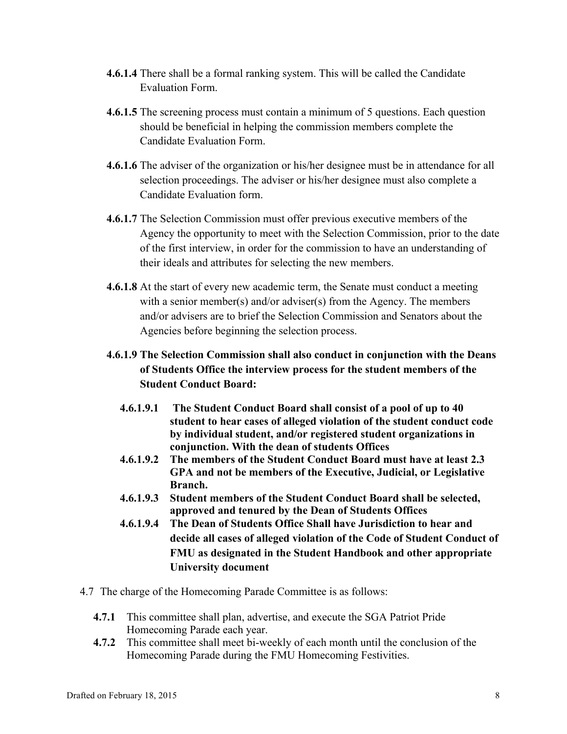- **4.6.1.4** There shall be a formal ranking system. This will be called the Candidate Evaluation Form.
- **4.6.1.5** The screening process must contain a minimum of 5 questions. Each question should be beneficial in helping the commission members complete the Candidate Evaluation Form.
- **4.6.1.6** The adviser of the organization or his/her designee must be in attendance for all selection proceedings. The adviser or his/her designee must also complete a Candidate Evaluation form.
- **4.6.1.7** The Selection Commission must offer previous executive members of the Agency the opportunity to meet with the Selection Commission, prior to the date of the first interview, in order for the commission to have an understanding of their ideals and attributes for selecting the new members.
- **4.6.1.8** At the start of every new academic term, the Senate must conduct a meeting with a senior member(s) and/or adviser(s) from the Agency. The members and/or advisers are to brief the Selection Commission and Senators about the Agencies before beginning the selection process.

# **4.6.1.9 The Selection Commission shall also conduct in conjunction with the Deans of Students Office the interview process for the student members of the Student Conduct Board:**

- **4.6.1.9.1 The Student Conduct Board shall consist of a pool of up to 40 student to hear cases of alleged violation of the student conduct code by individual student, and/or registered student organizations in conjunction. With the dean of students Offices**
- **4.6.1.9.2 The members of the Student Conduct Board must have at least 2.3 GPA and not be members of the Executive, Judicial, or Legislative Branch.**
- **4.6.1.9.3 Student members of the Student Conduct Board shall be selected, approved and tenured by the Dean of Students Offices**
- **4.6.1.9.4 The Dean of Students Office Shall have Jurisdiction to hear and decide all cases of alleged violation of the Code of Student Conduct of FMU as designated in the Student Handbook and other appropriate University document**
- 4.7 The charge of the Homecoming Parade Committee is as follows:
	- **4.7.1** This committee shall plan, advertise, and execute the SGA Patriot Pride Homecoming Parade each year.
	- **4.7.2** This committee shall meet bi-weekly of each month until the conclusion of the Homecoming Parade during the FMU Homecoming Festivities.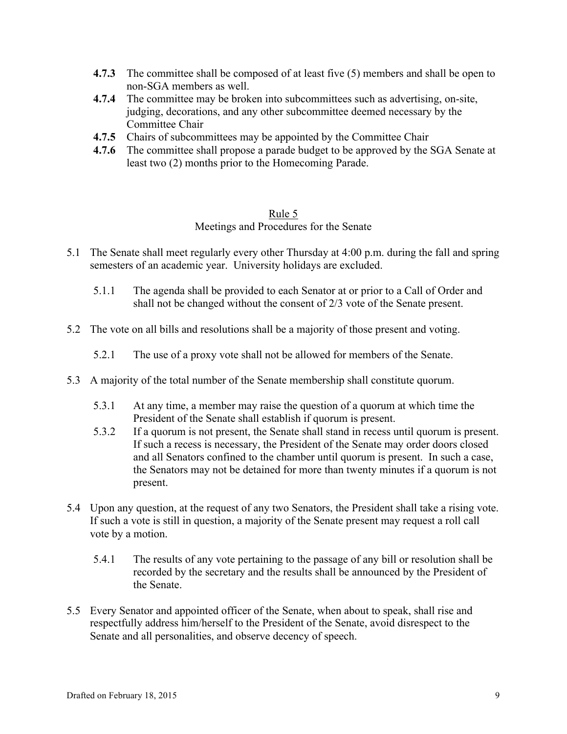- **4.7.3** The committee shall be composed of at least five (5) members and shall be open to non-SGA members as well.
- **4.7.4** The committee may be broken into subcommittees such as advertising, on-site, judging, decorations, and any other subcommittee deemed necessary by the Committee Chair
- **4.7.5** Chairs of subcommittees may be appointed by the Committee Chair
- **4.7.6** The committee shall propose a parade budget to be approved by the SGA Senate at least two (2) months prior to the Homecoming Parade.

#### Rule 5

#### Meetings and Procedures for the Senate

- 5.1 The Senate shall meet regularly every other Thursday at 4:00 p.m. during the fall and spring semesters of an academic year. University holidays are excluded.
	- 5.1.1 The agenda shall be provided to each Senator at or prior to a Call of Order and shall not be changed without the consent of 2/3 vote of the Senate present.
- 5.2 The vote on all bills and resolutions shall be a majority of those present and voting.
	- 5.2.1 The use of a proxy vote shall not be allowed for members of the Senate.
- 5.3 A majority of the total number of the Senate membership shall constitute quorum.
	- 5.3.1 At any time, a member may raise the question of a quorum at which time the President of the Senate shall establish if quorum is present.
	- 5.3.2 If a quorum is not present, the Senate shall stand in recess until quorum is present. If such a recess is necessary, the President of the Senate may order doors closed and all Senators confined to the chamber until quorum is present. In such a case, the Senators may not be detained for more than twenty minutes if a quorum is not present.
- 5.4 Upon any question, at the request of any two Senators, the President shall take a rising vote. If such a vote is still in question, a majority of the Senate present may request a roll call vote by a motion.
	- 5.4.1 The results of any vote pertaining to the passage of any bill or resolution shall be recorded by the secretary and the results shall be announced by the President of the Senate.
- 5.5 Every Senator and appointed officer of the Senate, when about to speak, shall rise and respectfully address him/herself to the President of the Senate, avoid disrespect to the Senate and all personalities, and observe decency of speech.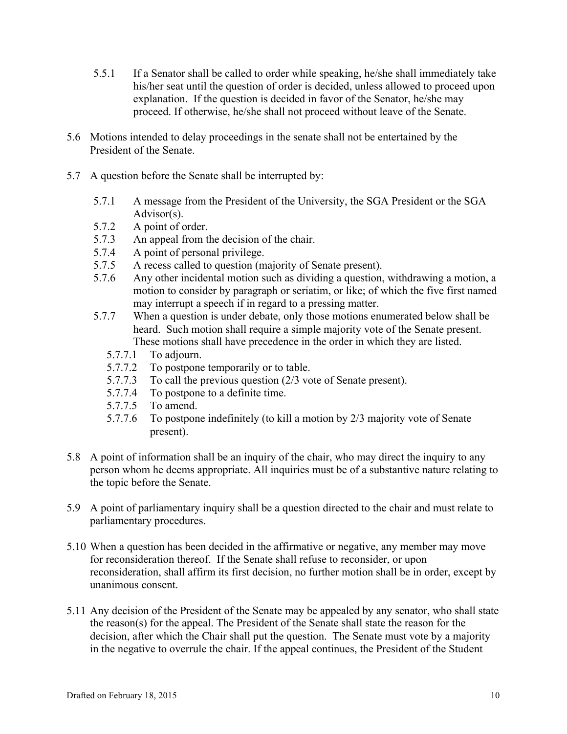- 5.5.1 If a Senator shall be called to order while speaking, he/she shall immediately take his/her seat until the question of order is decided, unless allowed to proceed upon explanation. If the question is decided in favor of the Senator, he/she may proceed. If otherwise, he/she shall not proceed without leave of the Senate.
- 5.6 Motions intended to delay proceedings in the senate shall not be entertained by the President of the Senate.
- 5.7 A question before the Senate shall be interrupted by:
	- 5.7.1 A message from the President of the University, the SGA President or the SGA Advisor(s).
	- 5.7.2 A point of order.
	- 5.7.3 An appeal from the decision of the chair.
	- 5.7.4 A point of personal privilege.
	- 5.7.5 A recess called to question (majority of Senate present).
	- 5.7.6 Any other incidental motion such as dividing a question, withdrawing a motion, a motion to consider by paragraph or seriatim, or like; of which the five first named may interrupt a speech if in regard to a pressing matter.
	- 5.7.7 When a question is under debate, only those motions enumerated below shall be heard. Such motion shall require a simple majority vote of the Senate present. These motions shall have precedence in the order in which they are listed.
		- 5.7.7.1 To adjourn.
		- 5.7.7.2 To postpone temporarily or to table.
		- 5.7.7.3 To call the previous question (2/3 vote of Senate present).
		- 5.7.7.4 To postpone to a definite time.
		- 5.7.7.5 To amend.
		- 5.7.7.6 To postpone indefinitely (to kill a motion by 2/3 majority vote of Senate present).
- 5.8 A point of information shall be an inquiry of the chair, who may direct the inquiry to any person whom he deems appropriate. All inquiries must be of a substantive nature relating to the topic before the Senate.
- 5.9 A point of parliamentary inquiry shall be a question directed to the chair and must relate to parliamentary procedures.
- 5.10 When a question has been decided in the affirmative or negative, any member may move for reconsideration thereof. If the Senate shall refuse to reconsider, or upon reconsideration, shall affirm its first decision, no further motion shall be in order, except by unanimous consent.
- 5.11 Any decision of the President of the Senate may be appealed by any senator, who shall state the reason(s) for the appeal. The President of the Senate shall state the reason for the decision, after which the Chair shall put the question. The Senate must vote by a majority in the negative to overrule the chair. If the appeal continues, the President of the Student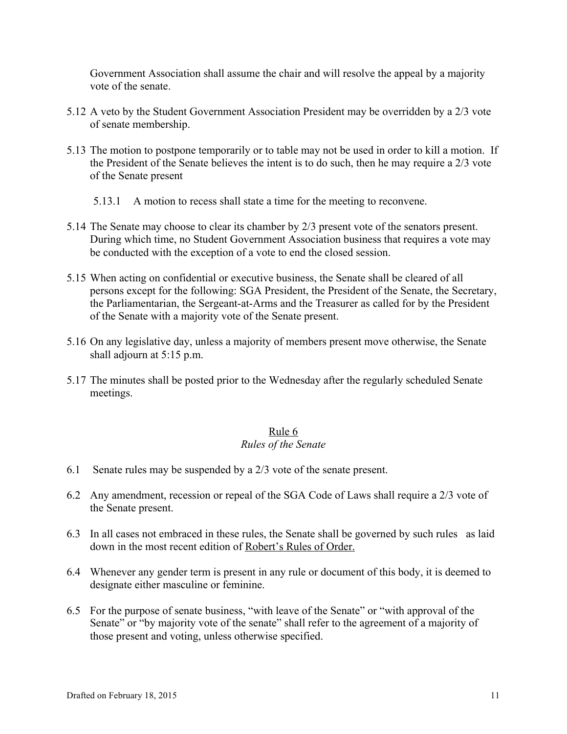Government Association shall assume the chair and will resolve the appeal by a majority vote of the senate.

- 5.12 A veto by the Student Government Association President may be overridden by a 2/3 vote of senate membership.
- 5.13 The motion to postpone temporarily or to table may not be used in order to kill a motion. If the President of the Senate believes the intent is to do such, then he may require a 2/3 vote of the Senate present
	- 5.13.1 A motion to recess shall state a time for the meeting to reconvene.
- 5.14 The Senate may choose to clear its chamber by 2/3 present vote of the senators present. During which time, no Student Government Association business that requires a vote may be conducted with the exception of a vote to end the closed session.
- 5.15 When acting on confidential or executive business, the Senate shall be cleared of all persons except for the following: SGA President, the President of the Senate, the Secretary, the Parliamentarian, the Sergeant-at-Arms and the Treasurer as called for by the President of the Senate with a majority vote of the Senate present.
- 5.16 On any legislative day, unless a majority of members present move otherwise, the Senate shall adjourn at 5:15 p.m.
- 5.17 The minutes shall be posted prior to the Wednesday after the regularly scheduled Senate meetings.

## Rule 6

#### *Rules of the Senate*

- 6.1 Senate rules may be suspended by a 2/3 vote of the senate present.
- 6.2 Any amendment, recession or repeal of the SGA Code of Laws shall require a 2/3 vote of the Senate present.
- 6.3 In all cases not embraced in these rules, the Senate shall be governed by such rules as laid down in the most recent edition of Robert's Rules of Order.
- 6.4 Whenever any gender term is present in any rule or document of this body, it is deemed to designate either masculine or feminine.
- 6.5 For the purpose of senate business, "with leave of the Senate" or "with approval of the Senate" or "by majority vote of the senate" shall refer to the agreement of a majority of those present and voting, unless otherwise specified.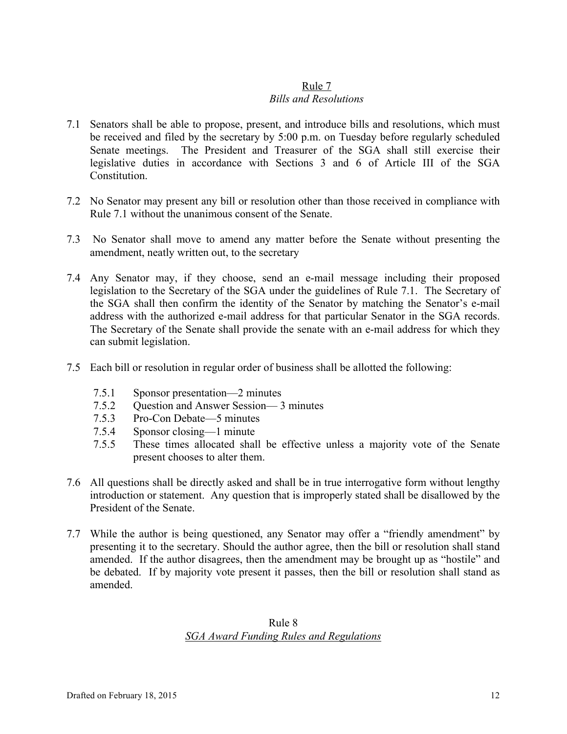#### Rule 7 *Bills and Resolutions*

- 7.1 Senators shall be able to propose, present, and introduce bills and resolutions, which must be received and filed by the secretary by 5:00 p.m. on Tuesday before regularly scheduled Senate meetings. The President and Treasurer of the SGA shall still exercise their legislative duties in accordance with Sections 3 and 6 of Article III of the SGA **Constitution**
- 7.2 No Senator may present any bill or resolution other than those received in compliance with Rule 7.1 without the unanimous consent of the Senate.
- 7.3 No Senator shall move to amend any matter before the Senate without presenting the amendment, neatly written out, to the secretary
- 7.4 Any Senator may, if they choose, send an e-mail message including their proposed legislation to the Secretary of the SGA under the guidelines of Rule 7.1. The Secretary of the SGA shall then confirm the identity of the Senator by matching the Senator's e-mail address with the authorized e-mail address for that particular Senator in the SGA records. The Secretary of the Senate shall provide the senate with an e-mail address for which they can submit legislation.
- 7.5 Each bill or resolution in regular order of business shall be allotted the following:
	- 7.5.1 Sponsor presentation—2 minutes
	- 7.5.2 Question and Answer Session— 3 minutes
	- 7.5.3 Pro-Con Debate—5 minutes
	- 7.5.4 Sponsor closing—1 minute
	- 7.5.5 These times allocated shall be effective unless a majority vote of the Senate present chooses to alter them.
- 7.6 All questions shall be directly asked and shall be in true interrogative form without lengthy introduction or statement. Any question that is improperly stated shall be disallowed by the President of the Senate.
- 7.7 While the author is being questioned, any Senator may offer a "friendly amendment" by presenting it to the secretary. Should the author agree, then the bill or resolution shall stand amended. If the author disagrees, then the amendment may be brought up as "hostile" and be debated. If by majority vote present it passes, then the bill or resolution shall stand as amended.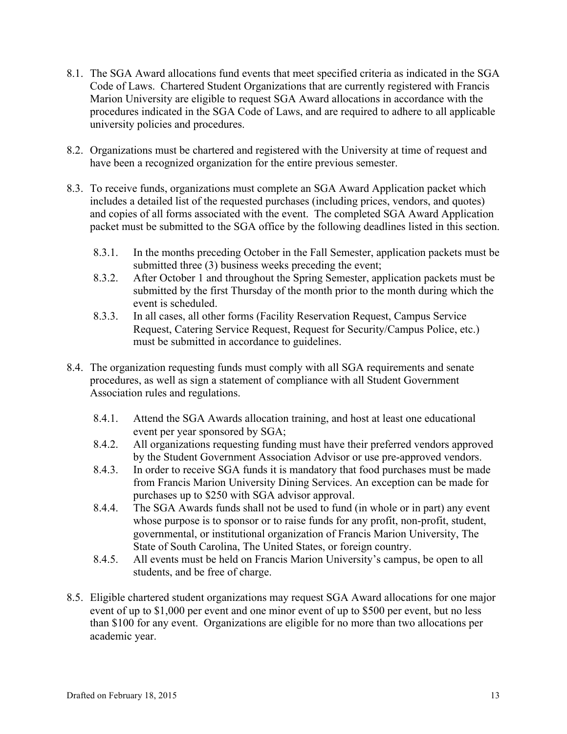- 8.1. The SGA Award allocations fund events that meet specified criteria as indicated in the SGA Code of Laws. Chartered Student Organizations that are currently registered with Francis Marion University are eligible to request SGA Award allocations in accordance with the procedures indicated in the SGA Code of Laws, and are required to adhere to all applicable university policies and procedures.
- 8.2. Organizations must be chartered and registered with the University at time of request and have been a recognized organization for the entire previous semester.
- 8.3. To receive funds, organizations must complete an SGA Award Application packet which includes a detailed list of the requested purchases (including prices, vendors, and quotes) and copies of all forms associated with the event. The completed SGA Award Application packet must be submitted to the SGA office by the following deadlines listed in this section.
	- 8.3.1. In the months preceding October in the Fall Semester, application packets must be submitted three (3) business weeks preceding the event;
	- 8.3.2. After October 1 and throughout the Spring Semester, application packets must be submitted by the first Thursday of the month prior to the month during which the event is scheduled.
	- 8.3.3. In all cases, all other forms (Facility Reservation Request, Campus Service Request, Catering Service Request, Request for Security/Campus Police, etc.) must be submitted in accordance to guidelines.
- 8.4. The organization requesting funds must comply with all SGA requirements and senate procedures, as well as sign a statement of compliance with all Student Government Association rules and regulations.
	- 8.4.1. Attend the SGA Awards allocation training, and host at least one educational event per year sponsored by SGA;
	- 8.4.2. All organizations requesting funding must have their preferred vendors approved by the Student Government Association Advisor or use pre-approved vendors.
	- 8.4.3. In order to receive SGA funds it is mandatory that food purchases must be made from Francis Marion University Dining Services. An exception can be made for purchases up to \$250 with SGA advisor approval.
	- 8.4.4. The SGA Awards funds shall not be used to fund (in whole or in part) any event whose purpose is to sponsor or to raise funds for any profit, non-profit, student, governmental, or institutional organization of Francis Marion University, The State of South Carolina, The United States, or foreign country.
	- 8.4.5. All events must be held on Francis Marion University's campus, be open to all students, and be free of charge.
- 8.5. Eligible chartered student organizations may request SGA Award allocations for one major event of up to \$1,000 per event and one minor event of up to \$500 per event, but no less than \$100 for any event. Organizations are eligible for no more than two allocations per academic year.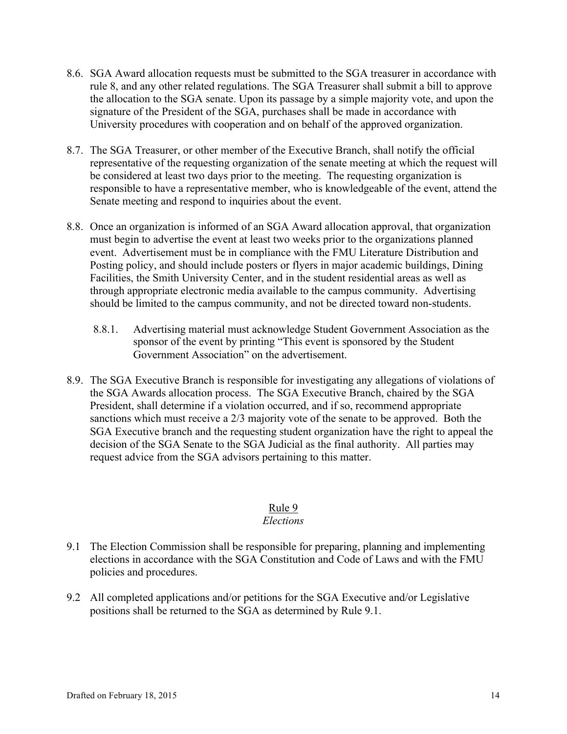- 8.6. SGA Award allocation requests must be submitted to the SGA treasurer in accordance with rule 8, and any other related regulations. The SGA Treasurer shall submit a bill to approve the allocation to the SGA senate. Upon its passage by a simple majority vote, and upon the signature of the President of the SGA, purchases shall be made in accordance with University procedures with cooperation and on behalf of the approved organization.
- 8.7. The SGA Treasurer, or other member of the Executive Branch, shall notify the official representative of the requesting organization of the senate meeting at which the request will be considered at least two days prior to the meeting. The requesting organization is responsible to have a representative member, who is knowledgeable of the event, attend the Senate meeting and respond to inquiries about the event.
- 8.8. Once an organization is informed of an SGA Award allocation approval, that organization must begin to advertise the event at least two weeks prior to the organizations planned event. Advertisement must be in compliance with the FMU Literature Distribution and Posting policy, and should include posters or flyers in major academic buildings, Dining Facilities, the Smith University Center, and in the student residential areas as well as through appropriate electronic media available to the campus community. Advertising should be limited to the campus community, and not be directed toward non-students.
	- 8.8.1. Advertising material must acknowledge Student Government Association as the sponsor of the event by printing "This event is sponsored by the Student Government Association" on the advertisement.
- 8.9. The SGA Executive Branch is responsible for investigating any allegations of violations of the SGA Awards allocation process. The SGA Executive Branch, chaired by the SGA President, shall determine if a violation occurred, and if so, recommend appropriate sanctions which must receive a 2/3 majority vote of the senate to be approved. Both the SGA Executive branch and the requesting student organization have the right to appeal the decision of the SGA Senate to the SGA Judicial as the final authority. All parties may request advice from the SGA advisors pertaining to this matter.

## Rule 9

## *Elections*

- 9.1 The Election Commission shall be responsible for preparing, planning and implementing elections in accordance with the SGA Constitution and Code of Laws and with the FMU policies and procedures.
- 9.2 All completed applications and/or petitions for the SGA Executive and/or Legislative positions shall be returned to the SGA as determined by Rule 9.1.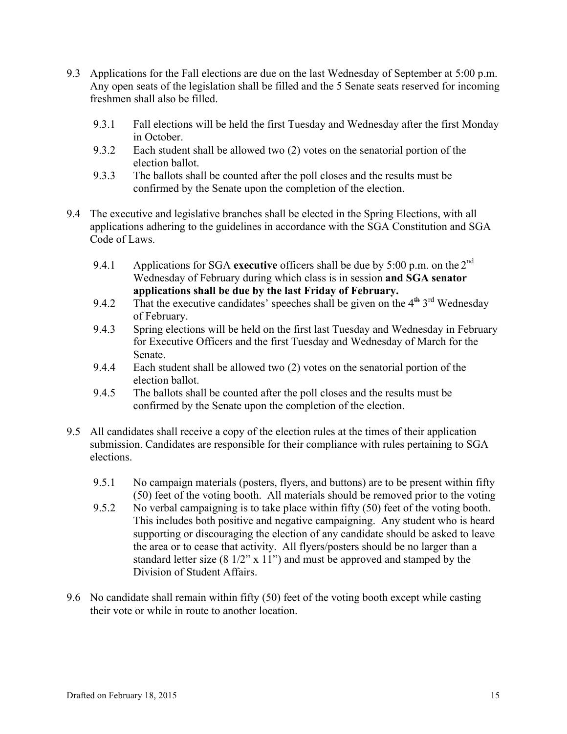- 9.3 Applications for the Fall elections are due on the last Wednesday of September at 5:00 p.m. Any open seats of the legislation shall be filled and the 5 Senate seats reserved for incoming freshmen shall also be filled.
	- 9.3.1 Fall elections will be held the first Tuesday and Wednesday after the first Monday in October.
	- 9.3.2 Each student shall be allowed two (2) votes on the senatorial portion of the election ballot.
	- 9.3.3 The ballots shall be counted after the poll closes and the results must be confirmed by the Senate upon the completion of the election.
- 9.4 The executive and legislative branches shall be elected in the Spring Elections, with all applications adhering to the guidelines in accordance with the SGA Constitution and SGA Code of Laws.
	- 9.4.1 Applications for SGA **executive** officers shall be due by 5:00 p.m. on the 2nd Wednesday of February during which class is in session **and SGA senator applications shall be due by the last Friday of February.**
	- 9.4.2 That the executive candidates' speeches shall be given on the  $4<sup>th</sup> 3<sup>rd</sup>$  Wednesday of February.
	- 9.4.3 Spring elections will be held on the first last Tuesday and Wednesday in February for Executive Officers and the first Tuesday and Wednesday of March for the Senate.
	- 9.4.4 Each student shall be allowed two (2) votes on the senatorial portion of the election ballot.
	- 9.4.5 The ballots shall be counted after the poll closes and the results must be confirmed by the Senate upon the completion of the election.
- 9.5 All candidates shall receive a copy of the election rules at the times of their application submission. Candidates are responsible for their compliance with rules pertaining to SGA elections.
	- 9.5.1 No campaign materials (posters, flyers, and buttons) are to be present within fifty (50) feet of the voting booth. All materials should be removed prior to the voting
	- 9.5.2 No verbal campaigning is to take place within fifty (50) feet of the voting booth. This includes both positive and negative campaigning. Any student who is heard supporting or discouraging the election of any candidate should be asked to leave the area or to cease that activity. All flyers/posters should be no larger than a standard letter size  $(8\frac{1}{2}x \times 11)$  and must be approved and stamped by the Division of Student Affairs.
- 9.6 No candidate shall remain within fifty (50) feet of the voting booth except while casting their vote or while in route to another location.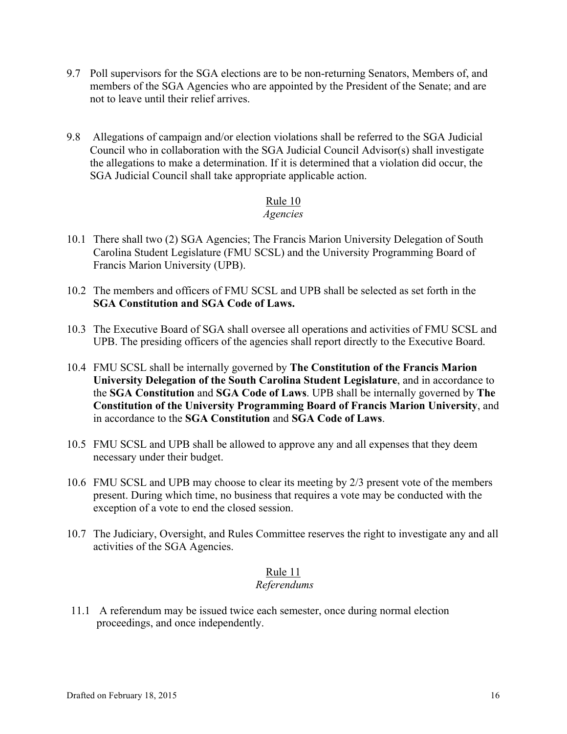- 9.7 Poll supervisors for the SGA elections are to be non-returning Senators, Members of, and members of the SGA Agencies who are appointed by the President of the Senate; and are not to leave until their relief arrives.
- 9.8 Allegations of campaign and/or election violations shall be referred to the SGA Judicial Council who in collaboration with the SGA Judicial Council Advisor(s) shall investigate the allegations to make a determination. If it is determined that a violation did occur, the SGA Judicial Council shall take appropriate applicable action.

#### Rule 10

#### *Agencies*

- 10.1 There shall two (2) SGA Agencies; The Francis Marion University Delegation of South Carolina Student Legislature (FMU SCSL) and the University Programming Board of Francis Marion University (UPB).
- 10.2 The members and officers of FMU SCSL and UPB shall be selected as set forth in the **SGA Constitution and SGA Code of Laws.**
- 10.3 The Executive Board of SGA shall oversee all operations and activities of FMU SCSL and UPB. The presiding officers of the agencies shall report directly to the Executive Board.
- 10.4 FMU SCSL shall be internally governed by **The Constitution of the Francis Marion University Delegation of the South Carolina Student Legislature**, and in accordance to the **SGA Constitution** and **SGA Code of Laws**. UPB shall be internally governed by **The Constitution of the University Programming Board of Francis Marion University**, and in accordance to the **SGA Constitution** and **SGA Code of Laws**.
- 10.5 FMU SCSL and UPB shall be allowed to approve any and all expenses that they deem necessary under their budget.
- 10.6 FMU SCSL and UPB may choose to clear its meeting by 2/3 present vote of the members present. During which time, no business that requires a vote may be conducted with the exception of a vote to end the closed session.
- 10.7 The Judiciary, Oversight, and Rules Committee reserves the right to investigate any and all activities of the SGA Agencies.

## Rule 11

## *Referendums*

11.1 A referendum may be issued twice each semester, once during normal election proceedings, and once independently.